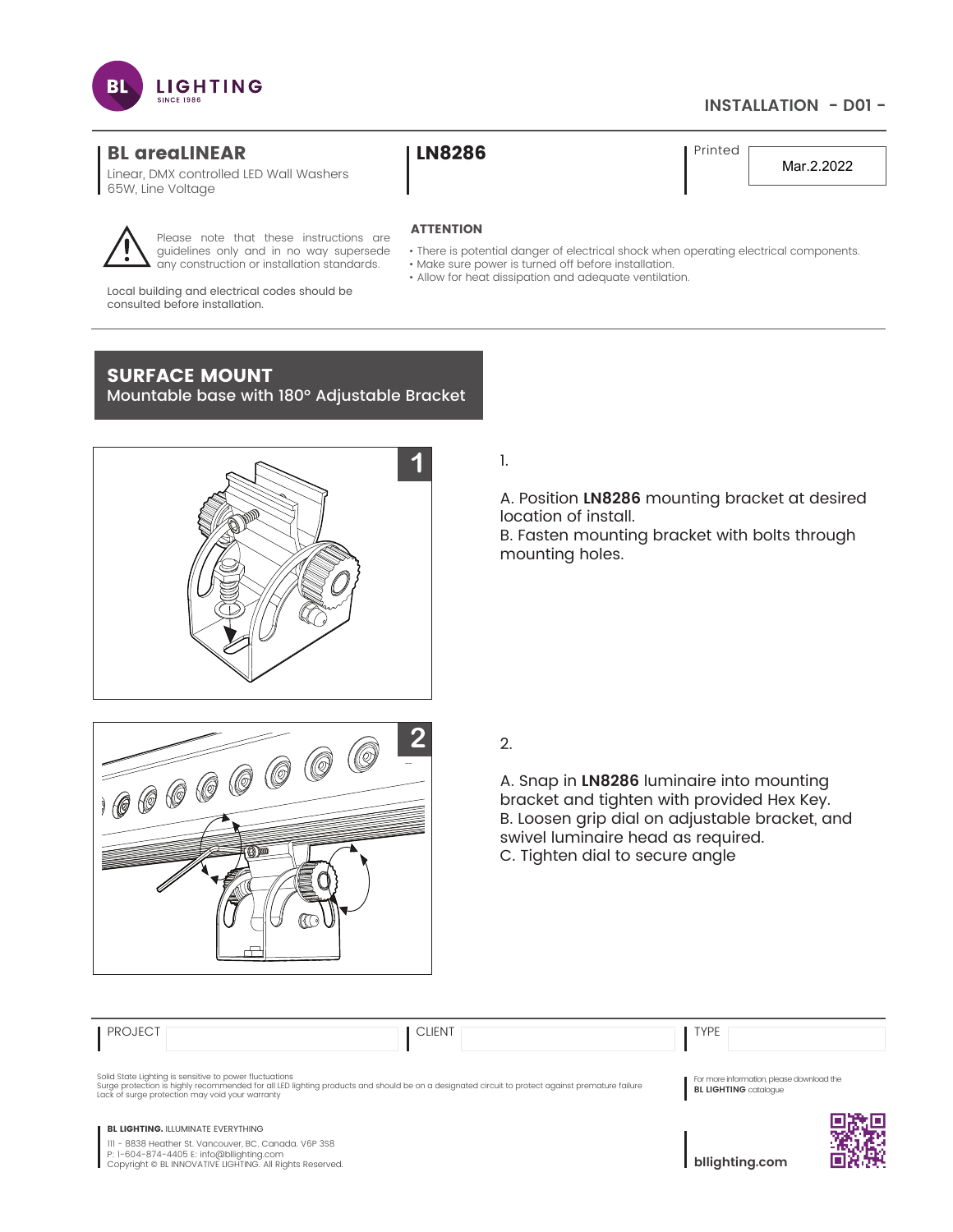

# **INSTALLATION - D01 -**

## BL areaLINEAR | LN8286

Linear, DMX controlled LED Wall Washers 65W, Line Voltage

Printed

Mar.2.2022

### **ATTENTION**

- There is potential danger of electrical shock when operating electrical components.
- Make sure power is turned off before installation.
- Allow for heat dissipation and adequate ventilation.

Local building and electrical codes should be consulted before installation.

# SURFACE MOUNT

Mountable base with 180° Adjustable Bracket

Please note that these instructions are guidelines only and in no way supersede any construction or installation standards.



1.

A. Position **LN8286** mounting bracket at desired location of install. B. Fasten mounting bracket with bolts through mounting holes.



A. Snap in **LN8286** luminaire into mounting bracket and tighten with provided Hex Key. B. Loosen grip dial on adjustable bracket, and swivel luminaire head as required. C. Tighten dial to secure angle

| <b>PROJECT</b>                                                                                                                                                | <b>CLIENT</b>                                                                                                                                   | <b>TYPE</b>                                                               |
|---------------------------------------------------------------------------------------------------------------------------------------------------------------|-------------------------------------------------------------------------------------------------------------------------------------------------|---------------------------------------------------------------------------|
| Solid State Lighting is sensitive to power fluctuations<br>Lack of surge protection may void your warranty                                                    | Surge protection is highly recommended for all LED lighting products and should be on a designated circuit to protect against premature failure | For more information, please download the<br><b>BL LIGHTING</b> catalogue |
| <b>BL LIGHTING. ILLUMINATE EVERYTHING</b>                                                                                                                     |                                                                                                                                                 |                                                                           |
| III - 8838 Heather St. Vancouver, BC. Canada. V6P 3S8<br>P: 1-604-874-4405 E: info@bllighting.com<br>Copyright © BL INNOVATIVE LIGHTING. All Rights Reserved. |                                                                                                                                                 | bllighting.com                                                            |